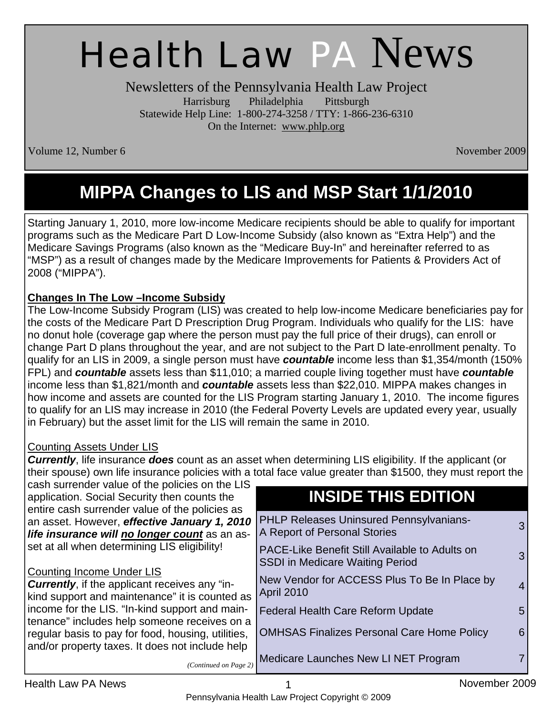# Health Law PA News

Newsletters of the Pennsylvania Health Law Project Harrisburg Philadelphia Pittsburgh Statewide Help Line: 1-800-274-3258 / TTY: 1-866-236-6310 On the Internet: www.phlp.org

Volume 12, Number 6 November 2009

# **MIPPA Changes to LIS and MSP Start 1/1/2010**

Starting January 1, 2010, more low-income Medicare recipients should be able to qualify for important programs such as the Medicare Part D Low-Income Subsidy (also known as "Extra Help") and the Medicare Savings Programs (also known as the "Medicare Buy-In" and hereinafter referred to as "MSP") as a result of changes made by the Medicare Improvements for Patients & Providers Act of 2008 ("MIPPA").

#### **Changes In The Low –Income Subsidy**

The Low-Income Subsidy Program (LIS) was created to help low-income Medicare beneficiaries pay for the costs of the Medicare Part D Prescription Drug Program. Individuals who qualify for the LIS: have no donut hole (coverage gap where the person must pay the full price of their drugs), can enroll or change Part D plans throughout the year, and are not subject to the Part D late-enrollment penalty. To qualify for an LIS in 2009, a single person must have *countable* income less than \$1,354/month (150% FPL) and *countable* assets less than \$11,010; a married couple living together must have *countable* income less than \$1,821/month and *countable* assets less than \$22,010. MIPPA makes changes in how income and assets are counted for the LIS Program starting January 1, 2010. The income figures to qualify for an LIS may increase in 2010 (the Federal Poverty Levels are updated every year, usually in February) but the asset limit for the LIS will remain the same in 2010.

#### Counting Assets Under LIS

*Currently*, life insurance *does* count as an asset when determining LIS eligibility. If the applicant (or their spouse) own life insurance policies with a total face value greater than \$1500, they must report the

| cash surrender value of the policies on the LIS<br>application. Social Security then counts the                                                 | <b>INSIDE THIS EDITION</b>                                                                    |
|-------------------------------------------------------------------------------------------------------------------------------------------------|-----------------------------------------------------------------------------------------------|
| entire cash surrender value of the policies as<br>an asset. However, effective January 1, 2010<br>life insurance will no longer count as an as- | <b>PHLP Releases Uninsured Pennsylvanians-</b><br>3<br>A Report of Personal Stories           |
| set at all when determining LIS eligibility!                                                                                                    | PACE-Like Benefit Still Available to Adults on<br>3<br><b>SSDI in Medicare Waiting Period</b> |
| <b>Counting Income Under LIS</b><br><b>Currently, if the applicant receives any "in-</b><br>kind support and maintenance" it is counted as      | New Vendor for ACCESS Plus To Be In Place by<br>$\overline{4}$<br><b>April 2010</b>           |
| income for the LIS. "In-kind support and main-<br>tenance" includes help someone receives on a                                                  | <b>Federal Health Care Reform Update</b><br>5.                                                |
| regular basis to pay for food, housing, utilities,                                                                                              | <b>OMHSAS Finalizes Personal Care Home Policy</b><br>6                                        |
| and/or property taxes. It does not include help<br>(Continued on Page 2)                                                                        | Medicare Launches New LI NET Program                                                          |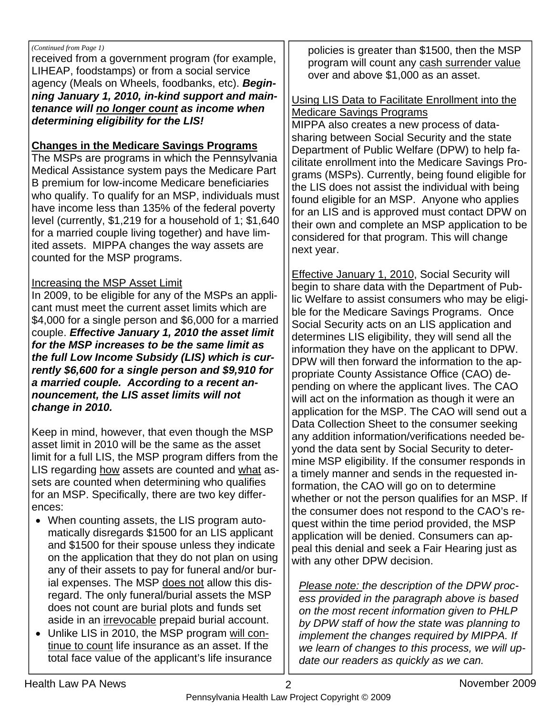#### *(Continued from Page 1)*

received from a government program (for example, LIHEAP, foodstamps) or from a social service agency (Meals on Wheels, foodbanks, etc). *Beginning January 1, 2010, in-kind support and maintenance will no longer count as income when determining eligibility for the LIS!*

#### **Changes in the Medicare Savings Programs**

The MSPs are programs in which the Pennsylvania Medical Assistance system pays the Medicare Part B premium for low-income Medicare beneficiaries who qualify. To qualify for an MSP, individuals must have income less than 135% of the federal poverty level (currently, \$1,219 for a household of 1; \$1,640 for a married couple living together) and have limited assets. MIPPA changes the way assets are counted for the MSP programs.

#### Increasing the MSP Asset Limit

In 2009, to be eligible for any of the MSPs an applicant must meet the current asset limits which are \$4,000 for a single person and \$6,000 for a married couple. *Effective January 1, 2010 the asset limit for the MSP increases to be the same limit as the full Low Income Subsidy (LIS) which is currently \$6,600 for a single person and \$9,910 for a married couple. According to a recent announcement, the LIS asset limits will not change in 2010.* 

Keep in mind, however, that even though the MSP asset limit in 2010 will be the same as the asset limit for a full LIS, the MSP program differs from the LIS regarding how assets are counted and what assets are counted when determining who qualifies for an MSP. Specifically, there are two key differences:

- When counting assets, the LIS program automatically disregards \$1500 for an LIS applicant and \$1500 for their spouse unless they indicate on the application that they do not plan on using any of their assets to pay for funeral and/or burial expenses. The MSP does not allow this disregard. The only funeral/burial assets the MSP does not count are burial plots and funds set aside in an *irrevocable* prepaid burial account.
- Unlike LIS in 2010, the MSP program will continue to count life insurance as an asset. If the total face value of the applicant's life insurance

policies is greater than \$1500, then the MSP program will count any cash surrender value over and above \$1,000 as an asset.

#### Using LIS Data to Facilitate Enrollment into the Medicare Savings Programs

MIPPA also creates a new process of datasharing between Social Security and the state Department of Public Welfare (DPW) to help facilitate enrollment into the Medicare Savings Programs (MSPs). Currently, being found eligible for the LIS does not assist the individual with being found eligible for an MSP. Anyone who applies for an LIS and is approved must contact DPW on their own and complete an MSP application to be considered for that program. This will change next year.

Effective January 1, 2010, Social Security will begin to share data with the Department of Public Welfare to assist consumers who may be eligible for the Medicare Savings Programs. Once Social Security acts on an LIS application and determines LIS eligibility, they will send all the information they have on the applicant to DPW. DPW will then forward the information to the appropriate County Assistance Office (CAO) depending on where the applicant lives. The CAO will act on the information as though it were an application for the MSP. The CAO will send out a Data Collection Sheet to the consumer seeking any addition information/verifications needed beyond the data sent by Social Security to determine MSP eligibility. If the consumer responds in a timely manner and sends in the requested information, the CAO will go on to determine whether or not the person qualifies for an MSP. If the consumer does not respond to the CAO's request within the time period provided, the MSP application will be denied. Consumers can appeal this denial and seek a Fair Hearing just as with any other DPW decision.

*Please note: the description of the DPW process provided in the paragraph above is based on the most recent information given to PHLP by DPW staff of how the state was planning to implement the changes required by MIPPA. If we learn of changes to this process, we will update our readers as quickly as we can.*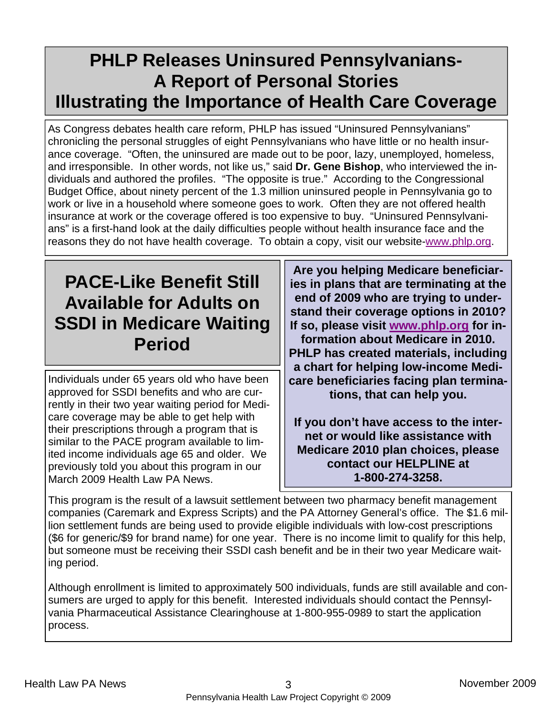### **PHLP Releases Uninsured Pennsylvanians-A Report of Personal Stories Illustrating the Importance of Health Care Coverage**

As Congress debates health care reform, PHLP has issued "Uninsured Pennsylvanians" chronicling the personal struggles of eight Pennsylvanians who have little or no health insurance coverage. "Often, the uninsured are made out to be poor, lazy, unemployed, homeless, and irresponsible. In other words, not like us," said **Dr. Gene Bishop**, who interviewed the individuals and authored the profiles. "The opposite is true." According to the Congressional Budget Office, about ninety percent of the 1.3 million uninsured people in Pennsylvania go to work or live in a household where someone goes to work. Often they are not offered health insurance at work or the coverage offered is too expensive to buy. "Uninsured Pennsylvanians" is a first-hand look at the daily difficulties people without health insurance face and the reasons they do not have health coverage. To obtain a copy, visit our website-www.phlp.org.

### **PACE-Like Benefit Still Available for Adults on SSDI in Medicare Waiting Period**

Individuals under 65 years old who have been approved for SSDI benefits and who are currently in their two year waiting period for Medicare coverage may be able to get help with their prescriptions through a program that is similar to the PACE program available to limited income individuals age 65 and older. We previously told you about this program in our March 2009 Health Law PA News.

**Are you helping Medicare beneficiaries in plans that are terminating at the end of 2009 who are trying to understand their coverage options in 2010? If so, please visit www.phlp.org for information about Medicare in 2010. PHLP has created materials, including a chart for helping low-income Medicare beneficiaries facing plan terminations, that can help you.** 

**If you don't have access to the internet or would like assistance with Medicare 2010 plan choices, please contact our HELPLINE at 1-800-274-3258.** 

This program is the result of a lawsuit settlement between two pharmacy benefit management companies (Caremark and Express Scripts) and the PA Attorney General's office. The \$1.6 million settlement funds are being used to provide eligible individuals with low-cost prescriptions (\$6 for generic/\$9 for brand name) for one year. There is no income limit to qualify for this help, but someone must be receiving their SSDI cash benefit and be in their two year Medicare waiting period.

Although enrollment is limited to approximately 500 individuals, funds are still available and consumers are urged to apply for this benefit. Interested individuals should contact the Pennsylvania Pharmaceutical Assistance Clearinghouse at 1-800-955-0989 to start the application process.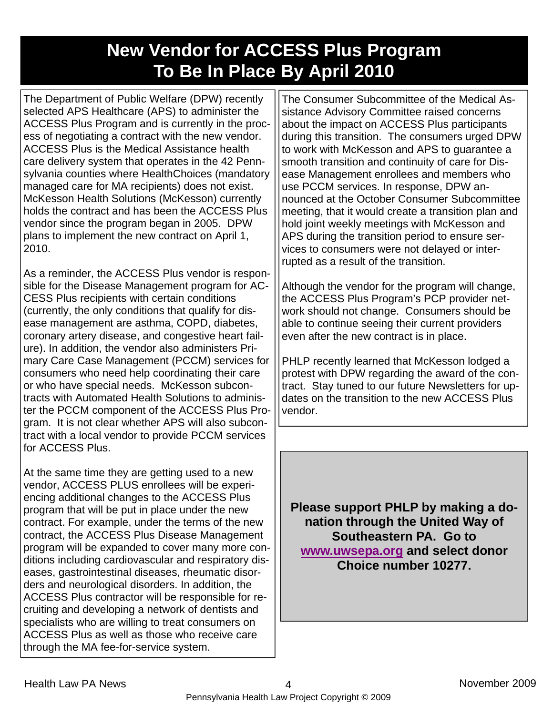### **New Vendor for ACCESS Plus Program To Be In Place By April 2010**

The Department of Public Welfare (DPW) recently selected APS Healthcare (APS) to administer the ACCESS Plus Program and is currently in the process of negotiating a contract with the new vendor. ACCESS Plus is the Medical Assistance health care delivery system that operates in the 42 Pennsylvania counties where HealthChoices (mandatory managed care for MA recipients) does not exist. McKesson Health Solutions (McKesson) currently holds the contract and has been the ACCESS Plus vendor since the program began in 2005. DPW plans to implement the new contract on April 1, 2010.

As a reminder, the ACCESS Plus vendor is responsible for the Disease Management program for AC-CESS Plus recipients with certain conditions (currently, the only conditions that qualify for disease management are asthma, COPD, diabetes, coronary artery disease, and congestive heart failure). In addition, the vendor also administers Primary Care Case Management (PCCM) services for consumers who need help coordinating their care or who have special needs. McKesson subcontracts with Automated Health Solutions to administer the PCCM component of the ACCESS Plus Program. It is not clear whether APS will also subcontract with a local vendor to provide PCCM services for ACCESS Plus.

At the same time they are getting used to a new vendor, ACCESS PLUS enrollees will be experiencing additional changes to the ACCESS Plus program that will be put in place under the new contract. For example, under the terms of the new contract, the ACCESS Plus Disease Management program will be expanded to cover many more conditions including cardiovascular and respiratory diseases, gastrointestinal diseases, rheumatic disorders and neurological disorders. In addition, the ACCESS Plus contractor will be responsible for recruiting and developing a network of dentists and specialists who are willing to treat consumers on ACCESS Plus as well as those who receive care through the MA fee-for-service system.

The Consumer Subcommittee of the Medical Assistance Advisory Committee raised concerns about the impact on ACCESS Plus participants during this transition. The consumers urged DPW to work with McKesson and APS to guarantee a smooth transition and continuity of care for Disease Management enrollees and members who use PCCM services. In response, DPW announced at the October Consumer Subcommittee meeting, that it would create a transition plan and hold joint weekly meetings with McKesson and APS during the transition period to ensure services to consumers were not delayed or interrupted as a result of the transition.

Although the vendor for the program will change, the ACCESS Plus Program's PCP provider network should not change. Consumers should be able to continue seeing their current providers even after the new contract is in place.

PHLP recently learned that McKesson lodged a protest with DPW regarding the award of the contract. Stay tuned to our future Newsletters for updates on the transition to the new ACCESS Plus vendor.

**Please support PHLP by making a donation through the United Way of Southeastern PA. Go to www.uwsepa.org and select donor Choice number 10277.**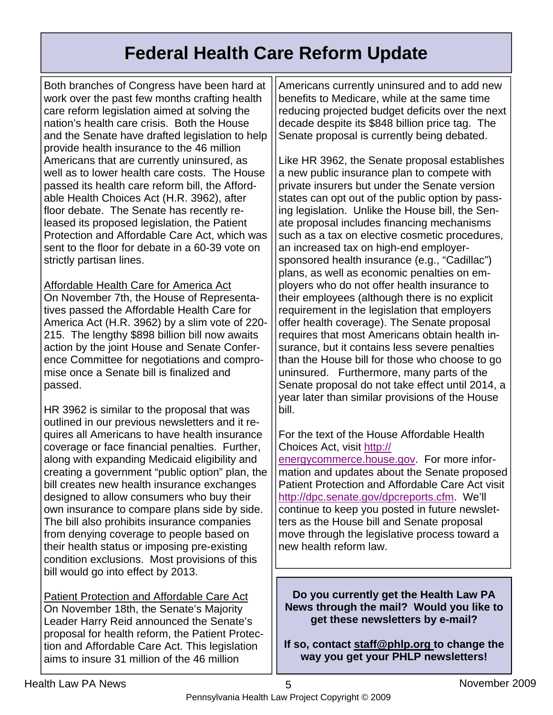### **Federal Health Care Reform Update**

Both branches of Congress have been hard at work over the past few months crafting health care reform legislation aimed at solving the nation's health care crisis. Both the House and the Senate have drafted legislation to help provide health insurance to the 46 million Americans that are currently uninsured, as well as to lower health care costs. The House passed its health care reform bill, the Affordable Health Choices Act (H.R. 3962), after floor debate. The Senate has recently released its proposed legislation, the Patient Protection and Affordable Care Act, which was sent to the floor for debate in a 60-39 vote on strictly partisan lines.

Affordable Health Care for America Act On November 7th, the House of Representatives passed the Affordable Health Care for America Act (H.R. 3962) by a slim vote of 220- 215. The lengthy \$898 billion bill now awaits action by the joint House and Senate Conference Committee for negotiations and compromise once a Senate bill is finalized and

HR 3962 is similar to the proposal that was outlined in our previous newsletters and it requires all Americans to have health insurance coverage or face financial penalties. Further, along with expanding Medicaid eligibility and creating a government "public option" plan, the bill creates new health insurance exchanges designed to allow consumers who buy their own insurance to compare plans side by side. The bill also prohibits insurance companies from denying coverage to people based on their health status or imposing pre-existing condition exclusions. Most provisions of this bill would go into effect by 2013.

Patient Protection and Affordable Care Act On November 18th, the Senate's Majority Leader Harry Reid announced the Senate's proposal for health reform, the Patient Protection and Affordable Care Act. This legislation aims to insure 31 million of the 46 million

Americans currently uninsured and to add new benefits to Medicare, while at the same time reducing projected budget deficits over the next decade despite its \$848 billion price tag. The Senate proposal is currently being debated.

Like HR 3962, the Senate proposal establishes a new public insurance plan to compete with private insurers but under the Senate version states can opt out of the public option by passing legislation. Unlike the House bill, the Senate proposal includes financing mechanisms such as a tax on elective cosmetic procedures, an increased tax on high-end employersponsored health insurance (e.g., "Cadillac") plans, as well as economic penalties on employers who do not offer health insurance to their employees (although there is no explicit requirement in the legislation that employers offer health coverage). The Senate proposal requires that most Americans obtain health insurance, but it contains less severe penalties than the House bill for those who choose to go uninsured. Furthermore, many parts of the Senate proposal do not take effect until 2014, a year later than similar provisions of the House bill.

#### For the text of the House Affordable Health Choices Act, visit http://

energycommerce.house.gov. For more information and updates about the Senate proposed Patient Protection and Affordable Care Act visit http://dpc.senate.gov/dpcreports.cfm. We'll continue to keep you posted in future newsletters as the House bill and Senate proposal move through the legislative process toward a new health reform law.

**Do you currently get the Health Law PA News through the mail? Would you like to get these newsletters by e-mail?** 

**If so, contact staff@phlp.org to change the way you get your PHLP newsletters!** 

passed.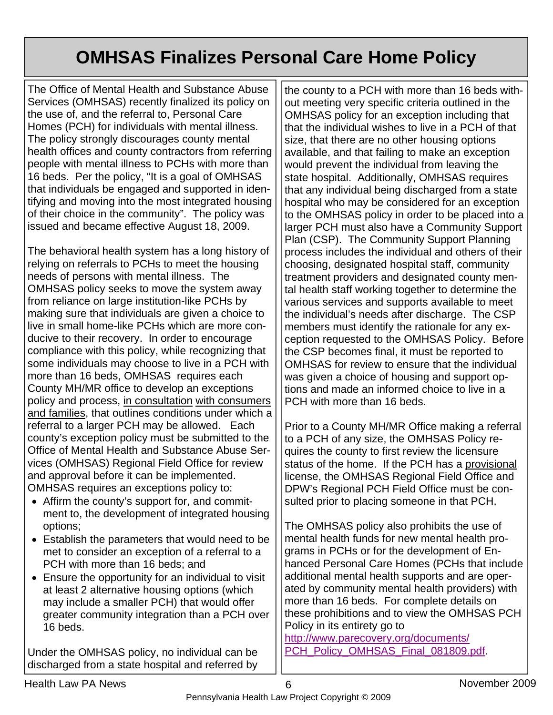## **OMHSAS Finalizes Personal Care Home Policy**

The Office of Mental Health and Substance Abuse Services (OMHSAS) recently finalized its policy on the use of, and the referral to, Personal Care Homes (PCH) for individuals with mental illness. The policy strongly discourages county mental health offices and county contractors from referring people with mental illness to PCHs with more than 16 beds. Per the policy, "It is a goal of OMHSAS that individuals be engaged and supported in identifying and moving into the most integrated housing of their choice in the community". The policy was issued and became effective August 18, 2009.

The behavioral health system has a long history of relying on referrals to PCHs to meet the housing needs of persons with mental illness. The OMHSAS policy seeks to move the system away from reliance on large institution-like PCHs by making sure that individuals are given a choice to live in small home-like PCHs which are more conducive to their recovery. In order to encourage compliance with this policy, while recognizing that some individuals may choose to live in a PCH with more than 16 beds, OMHSAS requires each County MH/MR office to develop an exceptions policy and process, in consultation with consumers and families, that outlines conditions under which a referral to a larger PCH may be allowed. Each county's exception policy must be submitted to the Office of Mental Health and Substance Abuse Services (OMHSAS) Regional Field Office for review and approval before it can be implemented. OMHSAS requires an exceptions policy to:

- Affirm the county's support for, and commitment to, the development of integrated housing options;
- Establish the parameters that would need to be met to consider an exception of a referral to a PCH with more than 16 beds; and
- Ensure the opportunity for an individual to visit at least 2 alternative housing options (which may include a smaller PCH) that would offer greater community integration than a PCH over 16 beds.

Under the OMHSAS policy, no individual can be discharged from a state hospital and referred by

the county to a PCH with more than 16 beds without meeting very specific criteria outlined in the OMHSAS policy for an exception including that that the individual wishes to live in a PCH of that size, that there are no other housing options available, and that failing to make an exception would prevent the individual from leaving the state hospital. Additionally, OMHSAS requires that any individual being discharged from a state hospital who may be considered for an exception to the OMHSAS policy in order to be placed into a larger PCH must also have a Community Support Plan (CSP). The Community Support Planning process includes the individual and others of their choosing, designated hospital staff, community treatment providers and designated county mental health staff working together to determine the various services and supports available to meet the individual's needs after discharge. The CSP members must identify the rationale for any exception requested to the OMHSAS Policy. Before the CSP becomes final, it must be reported to OMHSAS for review to ensure that the individual was given a choice of housing and support options and made an informed choice to live in a PCH with more than 16 beds.

Prior to a County MH/MR Office making a referral to a PCH of any size, the OMHSAS Policy requires the county to first review the licensure status of the home. If the PCH has a provisional license, the OMHSAS Regional Field Office and DPW's Regional PCH Field Office must be consulted prior to placing someone in that PCH.

The OMHSAS policy also prohibits the use of mental health funds for new mental health programs in PCHs or for the development of Enhanced Personal Care Homes (PCHs that include additional mental health supports and are operated by community mental health providers) with more than 16 beds. For complete details on these prohibitions and to view the OMHSAS PCH Policy in its entirety go to

http://www.parecovery.org/documents/ PCH\_Policy\_OMHSAS\_Final\_081809.pdf.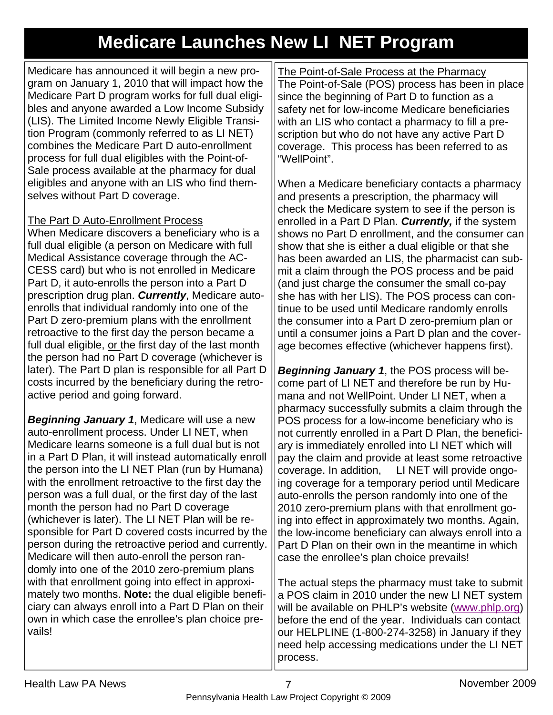### **Medicare Launches New LI NET Program**

Medicare has announced it will begin a new program on January 1, 2010 that will impact how the Medicare Part D program works for full dual eligibles and anyone awarded a Low Income Subsidy (LIS). The Limited Income Newly Eligible Transition Program (commonly referred to as LI NET) combines the Medicare Part D auto-enrollment process for full dual eligibles with the Point-of-Sale process available at the pharmacy for dual eligibles and anyone with an LIS who find themselves without Part D coverage.

#### The Part D Auto-Enrollment Process

When Medicare discovers a beneficiary who is a full dual eligible (a person on Medicare with full Medical Assistance coverage through the AC-CESS card) but who is not enrolled in Medicare Part D, it auto-enrolls the person into a Part D prescription drug plan. *Currently*, Medicare autoenrolls that individual randomly into one of the Part D zero-premium plans with the enrollment retroactive to the first day the person became a full dual eligible, or the first day of the last month the person had no Part D coverage (whichever is later). The Part D plan is responsible for all Part D costs incurred by the beneficiary during the retroactive period and going forward.

*Beginning January 1*, Medicare will use a new auto-enrollment process. Under LI NET, when Medicare learns someone is a full dual but is not in a Part D Plan, it will instead automatically enroll the person into the LI NET Plan (run by Humana) with the enrollment retroactive to the first day the person was a full dual, or the first day of the last month the person had no Part D coverage (whichever is later). The LI NET Plan will be responsible for Part D covered costs incurred by the person during the retroactive period and currently. Medicare will then auto-enroll the person randomly into one of the 2010 zero-premium plans with that enrollment going into effect in approximately two months. **Note:** the dual eligible beneficiary can always enroll into a Part D Plan on their own in which case the enrollee's plan choice prevails!

The Point-of-Sale Process at the Pharmacy The Point-of-Sale (POS) process has been in place since the beginning of Part D to function as a safety net for low-income Medicare beneficiaries with an LIS who contact a pharmacy to fill a prescription but who do not have any active Part D coverage. This process has been referred to as "WellPoint".

When a Medicare beneficiary contacts a pharmacy and presents a prescription, the pharmacy will check the Medicare system to see if the person is enrolled in a Part D Plan. *Currently,* if the system shows no Part D enrollment, and the consumer can show that she is either a dual eligible or that she has been awarded an LIS, the pharmacist can submit a claim through the POS process and be paid (and just charge the consumer the small co-pay she has with her LIS). The POS process can continue to be used until Medicare randomly enrolls the consumer into a Part D zero-premium plan or until a consumer joins a Part D plan and the coverage becomes effective (whichever happens first).

*Beginning January 1*, the POS process will become part of LI NET and therefore be run by Humana and not WellPoint. Under LI NET, when a pharmacy successfully submits a claim through the POS process for a low-income beneficiary who is not currently enrolled in a Part D Plan, the beneficiary is immediately enrolled into LI NET which will pay the claim and provide at least some retroactive coverage. In addition, LI NET will provide ongoing coverage for a temporary period until Medicare auto-enrolls the person randomly into one of the 2010 zero-premium plans with that enrollment going into effect in approximately two months. Again, the low-income beneficiary can always enroll into a Part D Plan on their own in the meantime in which case the enrollee's plan choice prevails!

The actual steps the pharmacy must take to submit a POS claim in 2010 under the new LI NET system will be available on PHLP's website (www.phlp.org) before the end of the year. Individuals can contact our HELPLINE (1-800-274-3258) in January if they need help accessing medications under the LI NET process.